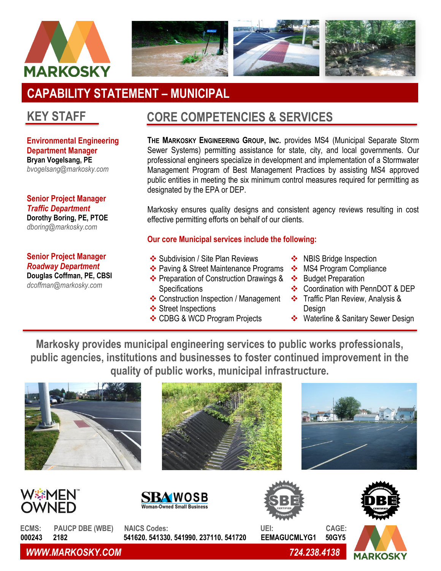



# **CAPABILITY STATEMENT – MUNICIPAL**

# **KEY STAFF**

**Environmental Engineering Department Manager Bryan Vogelsang, PE** *bvogelsang@markosky.com*

#### **Senior Project Manager**  *Traffic Department* **Dorothy Boring, PE, PTOE** *dboring@markosky.com*

### **Senior Project Manager**  *Roadway Department*

**Douglas Coffman, PE, CBSI** *dcoffman@markosky.com*

# **CORE COMPETENCIES & SERVICES**

**THE MARKOSKY ENGINEERING GROUP, INC.** provides MS4 (Municipal Separate Storm Sewer Systems) permitting assistance for state, city, and local governments. Our professional engineers specialize in development and implementation of a Stormwater Management Program of Best Management Practices by assisting MS4 approved public entities in meeting the six minimum control measures required for permitting as designated by the EPA or DEP.

Markosky ensures quality designs and consistent agency reviews resulting in cost effective permitting efforts on behalf of our clients.

### **Our core Municipal services include the following:**

- ❖ Subdivision / Site Plan Reviews
- ❖ Paving & Street Maintenance Programs
- ❖ Preparation of Construction Drawings & **Specifications**
- ❖ Construction Inspection / Management
- ❖ Street Inspections
- ❖ CDBG & WCD Program Projects
- ❖ NBIS Bridge Inspection
- ❖ MS4 Program Compliance
- ❖ Budget Preparation
- ❖ Coordination with PennDOT & DEP
- ❖ Traffic Plan Review, Analysis & Design
- ❖ Waterline & Sanitary Sewer Design

**Markosky provides municipal engineering services to public works professionals, public agencies, institutions and businesses to foster continued improvement in the quality of public works, municipal infrastructure.**

















**ECMS: PAUCP DBE (WBE) NAICS Codes: UEI: CAGE: 000243 2182 541620, 541330, 541990, 237110, 541720 EEMAGUCMLYG1 50GY5**

*WWW.MARKOSKY.COM 724.238.4138*